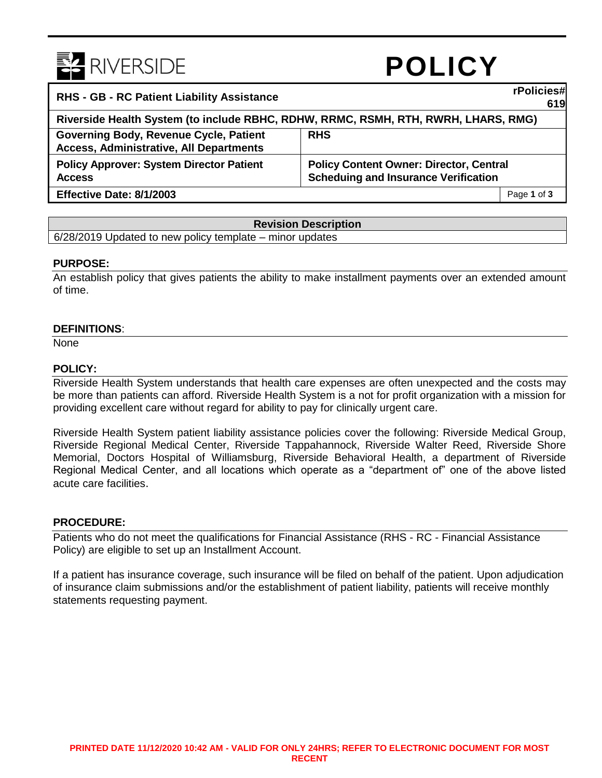

# **POLICY**

**619**

## **RHS - GB - RC Patient Liability Assistance rPolicies#**

|                                                                                    |                                                | . .         |
|------------------------------------------------------------------------------------|------------------------------------------------|-------------|
| Riverside Health System (to include RBHC, RDHW, RRMC, RSMH, RTH, RWRH, LHARS, RMG) |                                                |             |
| Governing Body, Revenue Cycle, Patient                                             | <b>RHS</b>                                     |             |
| <b>Access, Administrative, All Departments</b>                                     |                                                |             |
| <b>Policy Approver: System Director Patient</b>                                    | <b>Policy Content Owner: Director, Central</b> |             |
| <b>Access</b>                                                                      | <b>Scheduing and Insurance Verification</b>    |             |
| Effective Date: 8/1/2003                                                           |                                                | Page 1 of 3 |

## **Revision Description**

6/28/2019 Updated to new policy template – minor updates

## **PURPOSE:**

An establish policy that gives patients the ability to make installment payments over an extended amount of time.

## **DEFINITIONS**:

None

## **POLICY:**

Riverside Health System understands that health care expenses are often unexpected and the costs may be more than patients can afford. Riverside Health System is a not for profit organization with a mission for providing excellent care without regard for ability to pay for clinically urgent care.

Riverside Health System patient liability assistance policies cover the following: Riverside Medical Group, Riverside Regional Medical Center, Riverside Tappahannock, Riverside Walter Reed, Riverside Shore Memorial, Doctors Hospital of Williamsburg, Riverside Behavioral Health, a department of Riverside Regional Medical Center, and all locations which operate as a "department of" one of the above listed acute care facilities.

## **PROCEDURE:**

Patients who do not meet the qualifications for Financial Assistance (RHS - RC - Financial Assistance Policy) are eligible to set up an Installment Account.

If a patient has insurance coverage, such insurance will be filed on behalf of the patient. Upon adjudication of insurance claim submissions and/or the establishment of patient liability, patients will receive monthly statements requesting payment.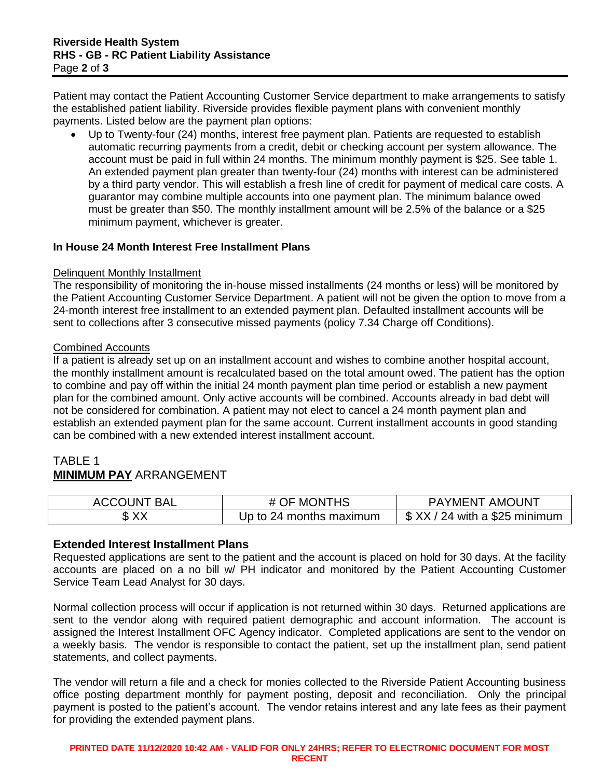Patient may contact the Patient Accounting Customer Service department to make arrangements to satisfy the established patient liability. Riverside provides flexible payment plans with convenient monthly payments. Listed below are the payment plan options:

 Up to Twenty-four (24) months, interest free payment plan. Patients are requested to establish automatic recurring payments from a credit, debit or checking account per system allowance. The account must be paid in full within 24 months. The minimum monthly payment is \$25. See table 1. An extended payment plan greater than twenty-four (24) months with interest can be administered by a third party vendor. This will establish a fresh line of credit for payment of medical care costs. A guarantor may combine multiple accounts into one payment plan. The minimum balance owed must be greater than \$50. The monthly installment amount will be 2.5% of the balance or a \$25 minimum payment, whichever is greater.

## **In House 24 Month Interest Free Installment Plans**

## Delinquent Monthly Installment

The responsibility of monitoring the in-house missed installments (24 months or less) will be monitored by the Patient Accounting Customer Service Department. A patient will not be given the option to move from a 24-month interest free installment to an extended payment plan. Defaulted installment accounts will be sent to collections after 3 consecutive missed payments (policy 7.34 Charge off Conditions).

## Combined Accounts

If a patient is already set up on an installment account and wishes to combine another hospital account, the monthly installment amount is recalculated based on the total amount owed. The patient has the option to combine and pay off within the initial 24 month payment plan time period or establish a new payment plan for the combined amount. Only active accounts will be combined. Accounts already in bad debt will not be considered for combination. A patient may not elect to cancel a 24 month payment plan and establish an extended payment plan for the same account. Current installment accounts in good standing can be combined with a new extended interest installment account.

## TABLE 1 **MINIMUM PAY** ARRANGEMENT

| <b>ACCOUNT BAL</b> | # OF MONTHS             | <b>PAYMENT AMOUNT</b>           |
|--------------------|-------------------------|---------------------------------|
| \$XX               | Up to 24 months maximum | $$$ XX / 24 with a \$25 minimum |

## **Extended Interest Installment Plans**

Requested applications are sent to the patient and the account is placed on hold for 30 days. At the facility accounts are placed on a no bill w/ PH indicator and monitored by the Patient Accounting Customer Service Team Lead Analyst for 30 days.

Normal collection process will occur if application is not returned within 30 days. Returned applications are sent to the vendor along with required patient demographic and account information. The account is assigned the Interest Installment OFC Agency indicator. Completed applications are sent to the vendor on a weekly basis. The vendor is responsible to contact the patient, set up the installment plan, send patient statements, and collect payments.

The vendor will return a file and a check for monies collected to the Riverside Patient Accounting business office posting department monthly for payment posting, deposit and reconciliation. Only the principal payment is posted to the patient's account. The vendor retains interest and any late fees as their payment for providing the extended payment plans.